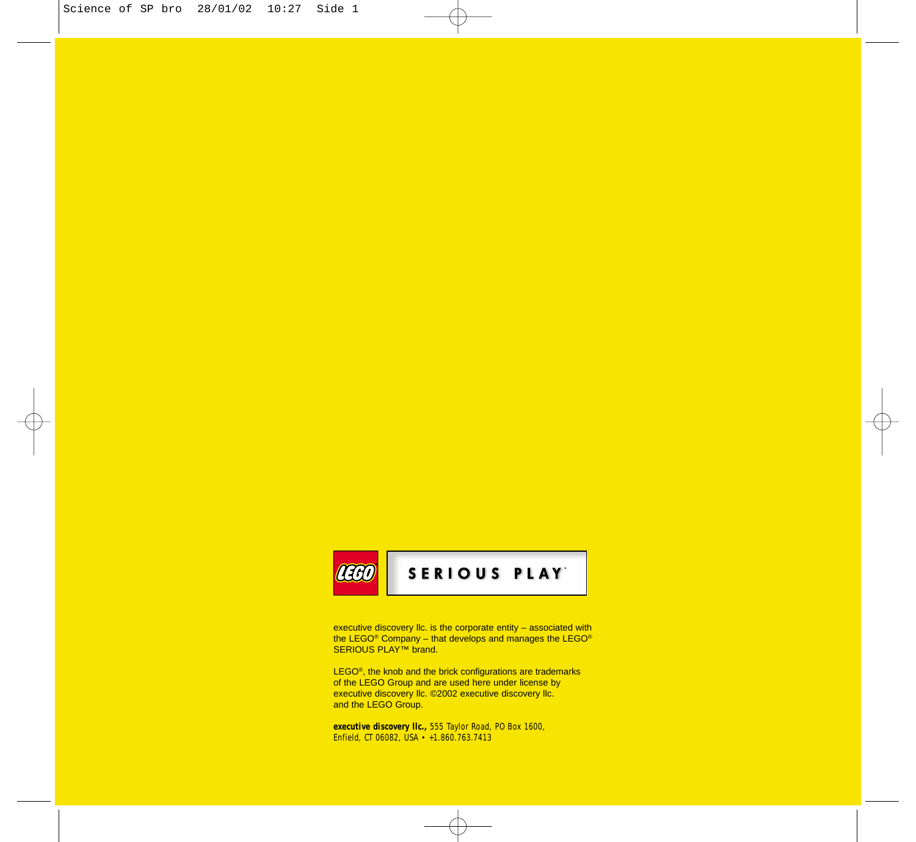# **BAT**

### SERIOUS PLAY

executive discovery llc. is the corporate entity – associated with the LEGO® Company – that develops and manages the LEGO®<br>SERIOUS PLAY™ brand.

LEGO<sup>®</sup>, the knob and the brick configurations are trademarks of the LEGO Group and are used here under license by executive discovery llc. ©2002 executive discovery llc. and the LEGO Group.

**executive discovery llc.,** 555 Taylor Road, PO Box 1600, Enfield, CT 06082, USA • +1.860.763.7413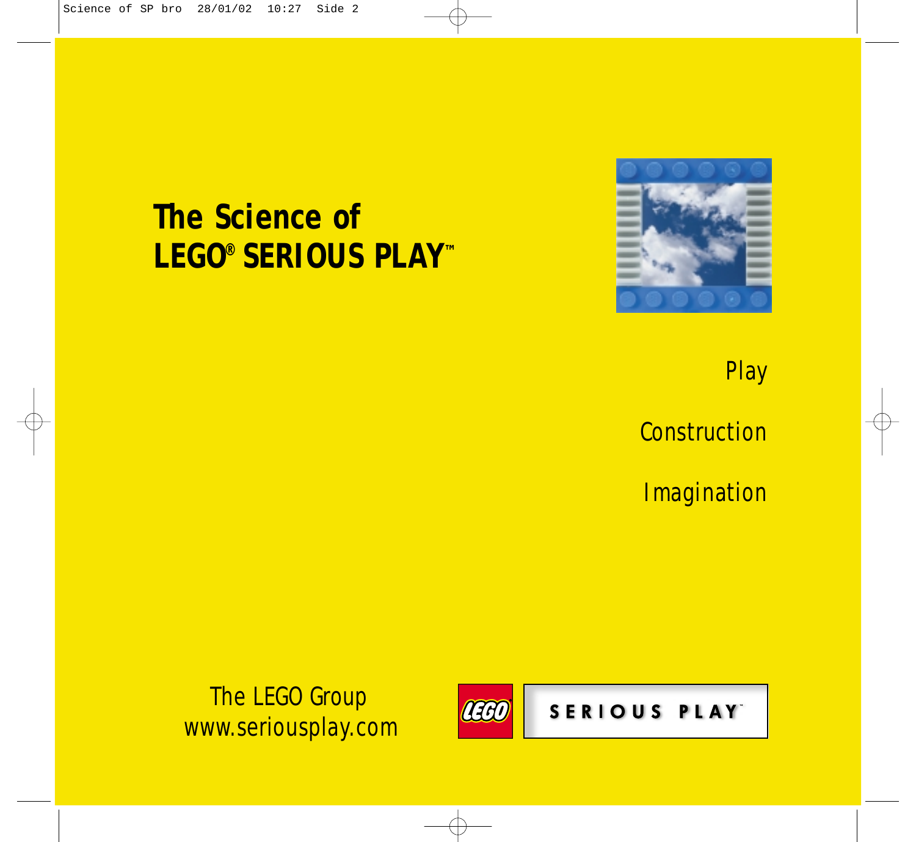# **The Science of LEGO® SERIOUS PLAY™**



Play

**Construction** 

**Imagination** 

 The LEGO Group www.seriousplay.com



SERIOUS PLAY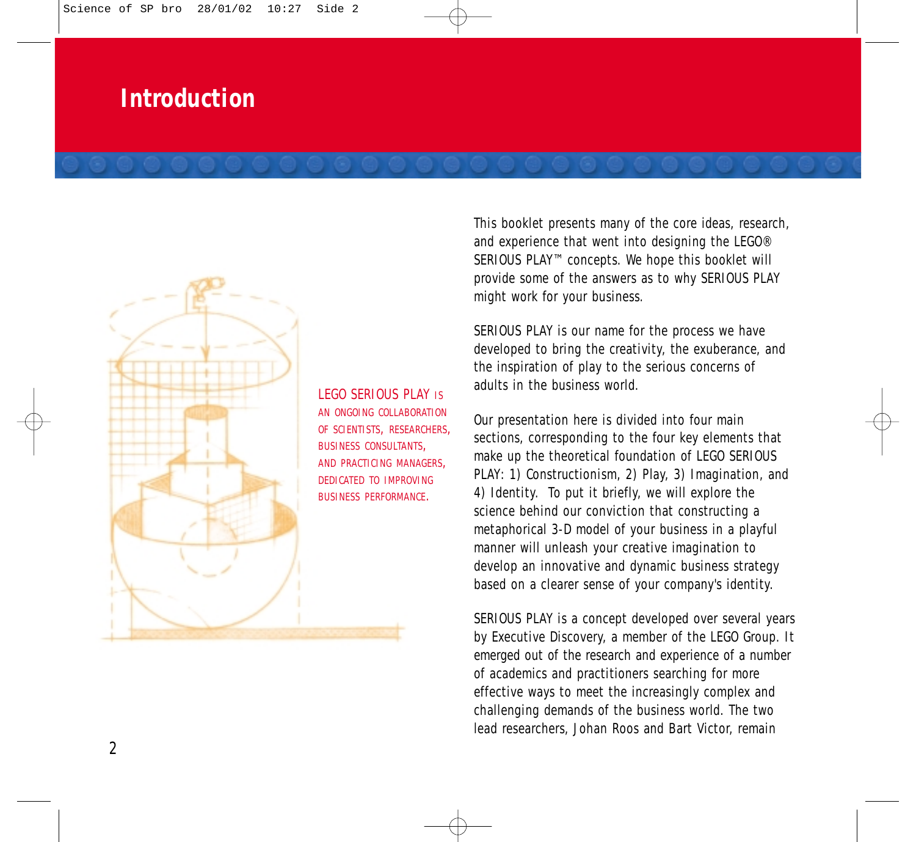### **Introduction**

LEGO SERIOUS PLAY IS AN ONGOING COLLABORATION OF SCIENTISTS, RESEARCHERS, BUSINESS CONSULTANTS, AND PRACTICING MANAGERS, DEDICATED TO IMPROVING BUSINESS PERFORMANCE.

This booklet presents many of the core ideas, research, and experience that went into designing the LEGO® SERIOUS PLAY™ concepts. We hope this booklet will provide some of the answers as to why SERIOUS PLAY might work for your business.

SERIOUS PLAY is our name for the process we have developed to bring the creativity, the exuberance, and the inspiration of play to the serious concerns of adults in the business world.

Our presentation here is divided into four main sections, corresponding to the four key elements that make up the theoretical foundation of LEGO SERIOUS PLAY: 1) Constructionism, 2) Play, 3) Imagination, and 4) Identity. To put it briefly, we will explore the science behind our conviction that constructing a metaphorical 3-D model of your business in a playful manner will unleash your creative imagination to develop an innovative and dynamic business strategy based on a clearer sense of your company's identity.

SERIOUS PLAY is a concept developed over several years by Executive Discovery, a member of the LEGO Group. It emerged out of the research and experience of a number of academics and practitioners searching for more effective ways to meet the increasingly complex and challenging demands of the business world. The two lead researchers, Johan Roos and Bart Victor, remain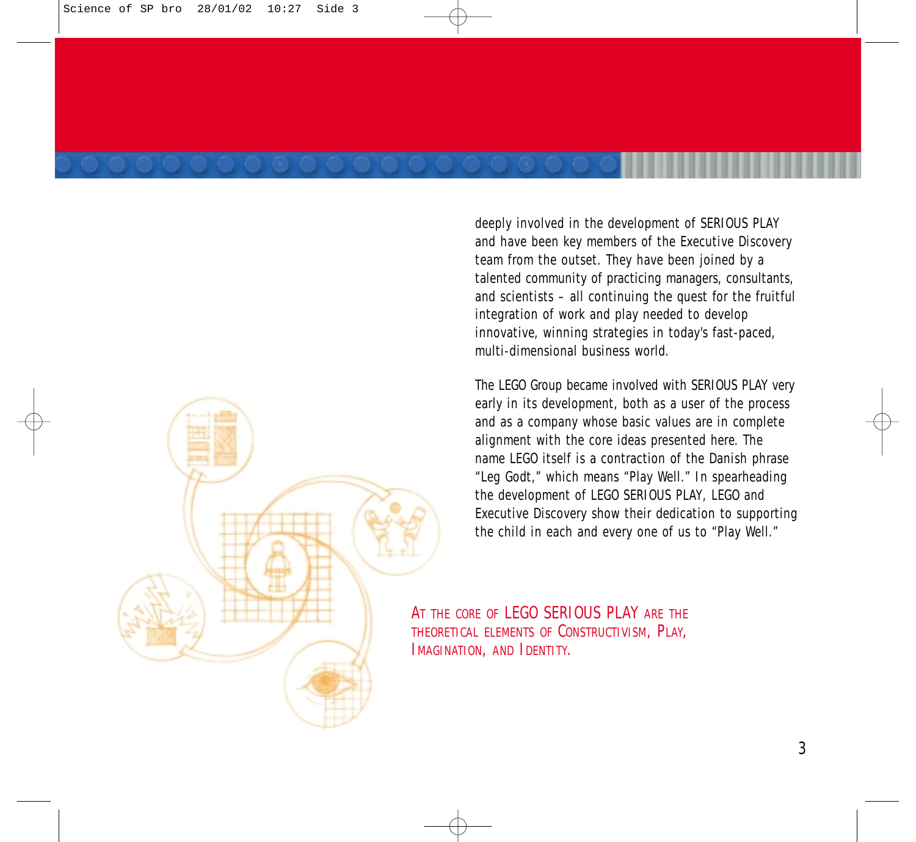

deeply involved in the development of SERIOUS PLAY and have been key members of the Executive Discovery team from the outset. They have been joined by a talented community of practicing managers, consultants, and scientists – all continuing the quest for the fruitful integration of work and play needed to develop innovative, winning strategies in today's fast-paced, multi-dimensional business world.

The LEGO Group became involved with SERIOUS PLAY very early in its development, both as a user of the process and as a company whose basic values are in complete alignment with the core ideas presented here. The name LEGO itself is a contraction of the Danish phrase "Leg Godt," which means "Play Well." In spearheading the development of LEGO SERIOUS PLAY, LEGO and Executive Discovery show their dedication to supporting the child in each and every one of us to "Play Well."

AT THE CORE OF LEGO SERIOUS PLAY ARE THE THEORETICAL ELEMENTS OF CONSTRUCTIVISM, PLAY, IMAGINATION, AND IDENTITY.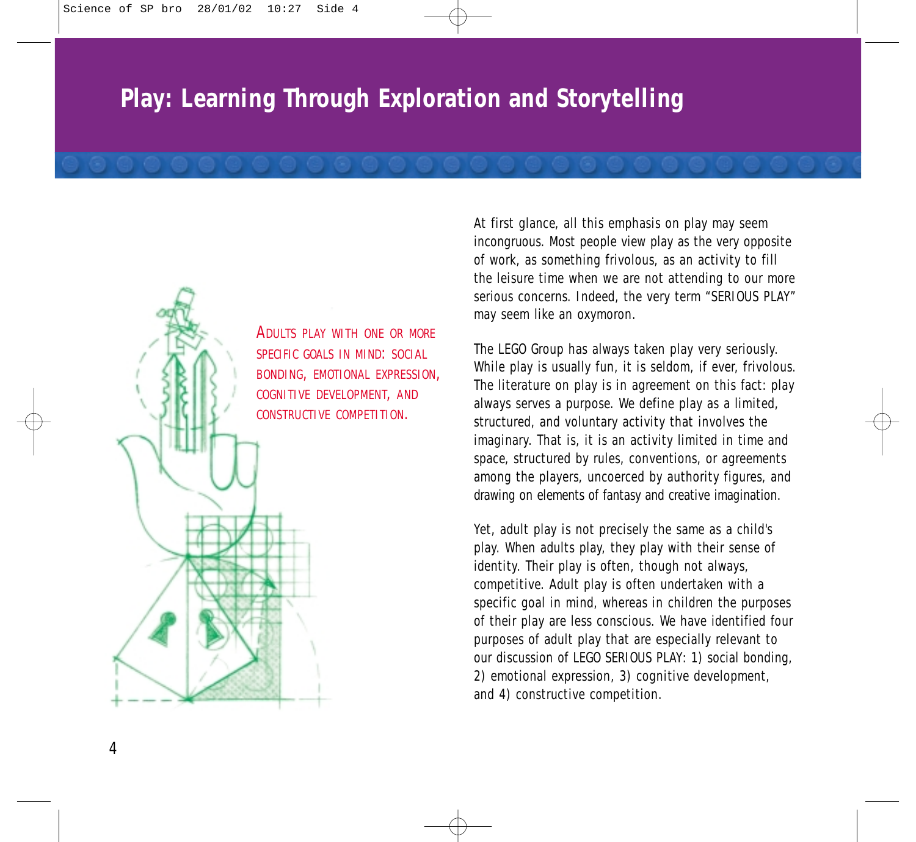# **Play: Learning Through Exploration and Storytelling**



ADULTS PLAY WITH ONE OR MORE SPECIFIC GOALS IN MIND: SOCIAL BONDING, EMOTIONAL EXPRESSION, COGNITIVE DEVELOPMENT, AND CONSTRUCTIVE COMPETITION.

At first glance, all this emphasis on play may seem incongruous. Most people view play as the very opposite of work, as something frivolous, as an activity to fill the leisure time when we are not attending to our more serious concerns. Indeed, the very term "SERIOUS PLAY" may seem like an oxymoron.

The LEGO Group has always taken play very seriously. While play is usually fun, it is seldom, if ever, frivolous. The literature on play is in agreement on this fact: play always serves a purpose. We define play as a limited, structured, and voluntary activity that involves the imaginary. That is, it is an activity limited in time and space, structured by rules, conventions, or agreements among the players, uncoerced by authority figures, and drawing on elements of fantasy and creative imagination.

Yet, adult play is not precisely the same as a child's play. When adults play, they play with their sense of identity. Their play is often, though not always, competitive. Adult play is often undertaken with a specific goal in mind, whereas in children the purposes of their play are less conscious. We have identified four purposes of adult play that are especially relevant to our discussion of LEGO SERIOUS PLAY: 1) social bonding, 2) emotional expression, 3) cognitive development, and 4) constructive competition.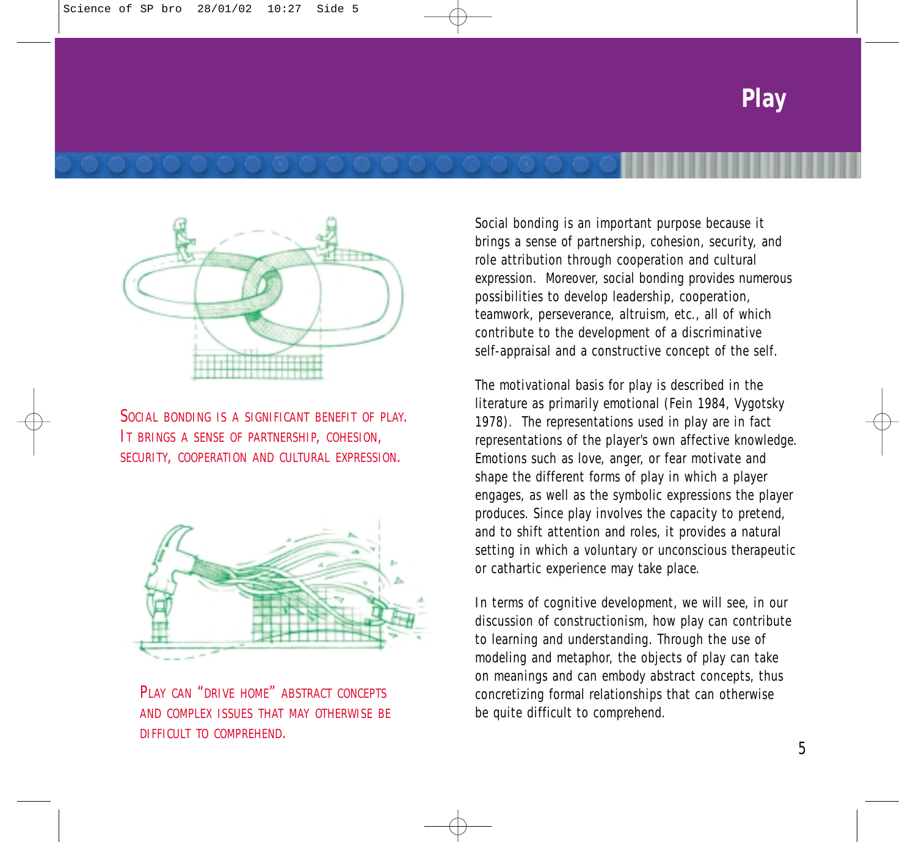



SOCIAL BONDING IS A SIGNIFICANT BENEFIT OF PLAY. IT BRINGS A SENSE OF PARTNERSHIP, COHESION, SECURITY, COOPERATION AND CULTURAL EXPRESSION.



PLAY CAN "DRIVE HOME" ABSTRACT CONCEPTS AND COMPLEX ISSUES THAT MAY OTHERWISE BE DIFFICULT TO COMPREHEND.

Social bonding is an important purpose because it brings a sense of partnership, cohesion, security, and role attribution through cooperation and cultural expression. Moreover, social bonding provides numerous possibilities to develop leadership, cooperation, teamwork, perseverance, altruism, etc., all of which contribute to the development of a discriminative self-appraisal and a constructive concept of the self.

The motivational basis for play is described in the literature as primarily emotional (Fein 1984, Vygotsky 1978). The representations used in play are in fact representations of the player's own affective knowledge. Emotions such as love, anger, or fear motivate and shape the different forms of play in which a player engages, as well as the symbolic expressions the player produces. Since play involves the capacity to pretend, and to shift attention and roles, it provides a natural setting in which a voluntary or unconscious therapeutic or cathartic experience may take place.

In terms of cognitive development, we will see, in our discussion of constructionism, how play can contribute to learning and understanding. Through the use of modeling and metaphor, the objects of play can take on meanings and can embody abstract concepts, thus concretizing formal relationships that can otherwise be quite difficult to comprehend.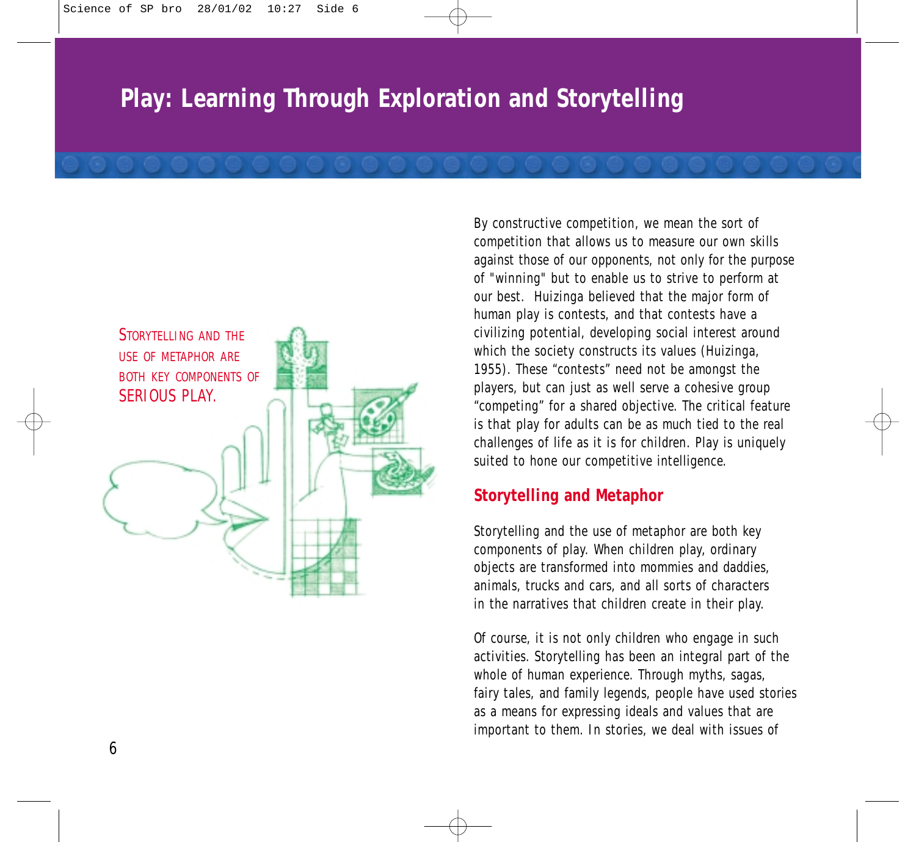

By constructive competition, we mean the sort of competition that allows us to measure our own skills against those of our opponents, not only for the purpose of "winning" but to enable us to strive to perform at our best. Huizinga believed that the major form of human play is contests, and that contests have a civilizing potential, developing social interest around which the society constructs its values (Huizinga, 1955). These "contests" need not be amongst the players, but can just as well serve a cohesive group "competing" for a shared objective. The critical feature is that play for adults can be as much tied to the real challenges of life as it is for children. Play is uniquely suited to hone our competitive intelligence.

### **Storytelling and Metaphor**

Storytelling and the use of metaphor are both key components of play. When children play, ordinary objects are transformed into mommies and daddies, animals, trucks and cars, and all sorts of characters in the narratives that children create in their play.

Of course, it is not only children who engage in such activities. Storytelling has been an integral part of the whole of human experience. Through myths, sagas, fairy tales, and family legends, people have used stories as a means for expressing ideals and values that are important to them. In stories, we deal with issues of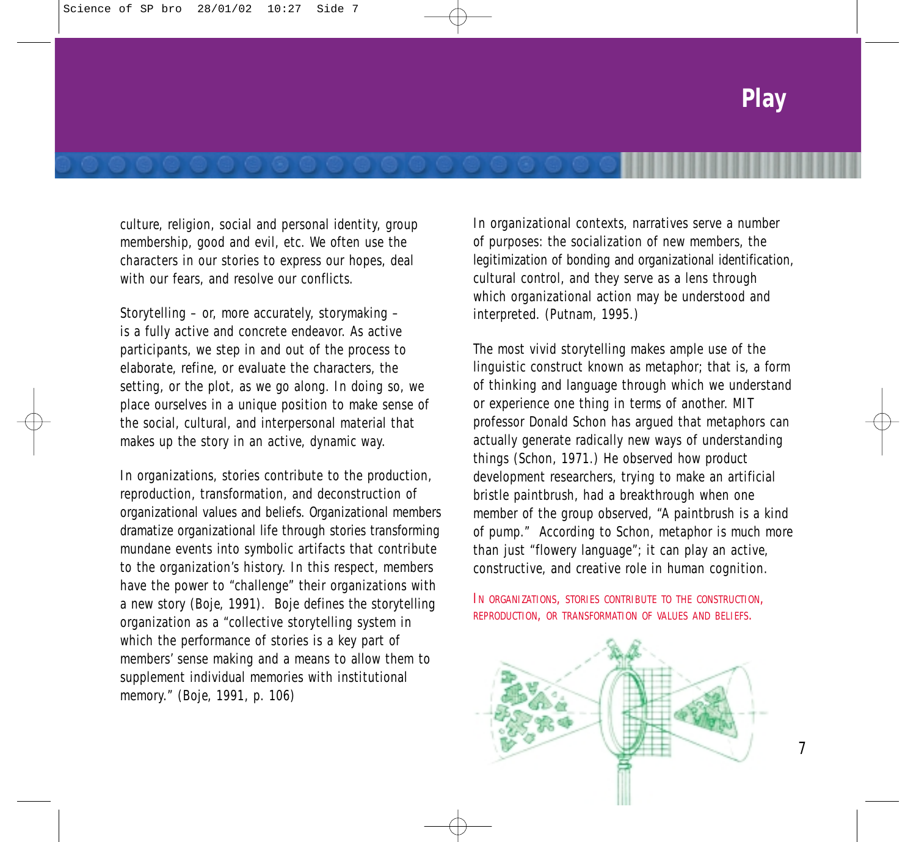culture, religion, social and personal identity, group membership, good and evil, etc. We often use the characters in our stories to express our hopes, deal with our fears, and resolve our conflicts.

Storytelling – or, more accurately, storymaking – is a fully active and concrete endeavor. As active participants, we step in and out of the process to elaborate, refine, or evaluate the characters, the setting, or the plot, as we go along. In doing so, we place ourselves in a unique position to make sense of the social, cultural, and interpersonal material that makes up the story in an active, dynamic way.

In organizations, stories contribute to the production, reproduction, transformation, and deconstruction of organizational values and beliefs. Organizational members dramatize organizational life through stories transforming mundane events into symbolic artifacts that contribute to the organization's history. In this respect, members have the power to "challenge" their organizations with a new story (Boje, 1991). Boje defines the storytelling organization as a "collective storytelling system in which the performance of stories is a key part of members' sense making and a means to allow them to supplement individual memories with institutional memory." (Boje, 1991, p. 106)

In organizational contexts, narratives serve a number of purposes: the socialization of new members, the legitimization of bonding and organizational identification, cultural control, and they serve as a lens through which organizational action may be understood and interpreted. (Putnam, 1995.)

The most vivid storytelling makes ample use of the linguistic construct known as metaphor; that is, a form of thinking and language through which we understand or experience one thing in terms of another. MIT professor Donald Schon has argued that metaphors can actually generate radically new ways of understanding things (Schon, 1971.) He observed how product development researchers, trying to make an artificial bristle paintbrush, had a breakthrough when one member of the group observed, "A paintbrush is a kind of pump." According to Schon, metaphor is much more than just "flowery language"; it can play an active, constructive, and creative role in human cognition.

IN ORGANIZATIONS, STORIES CONTRIBUTE TO THE CONSTRUCTION, REPRODUCTION, OR TRANSFORMATION OF VALUES AND BELIEFS.

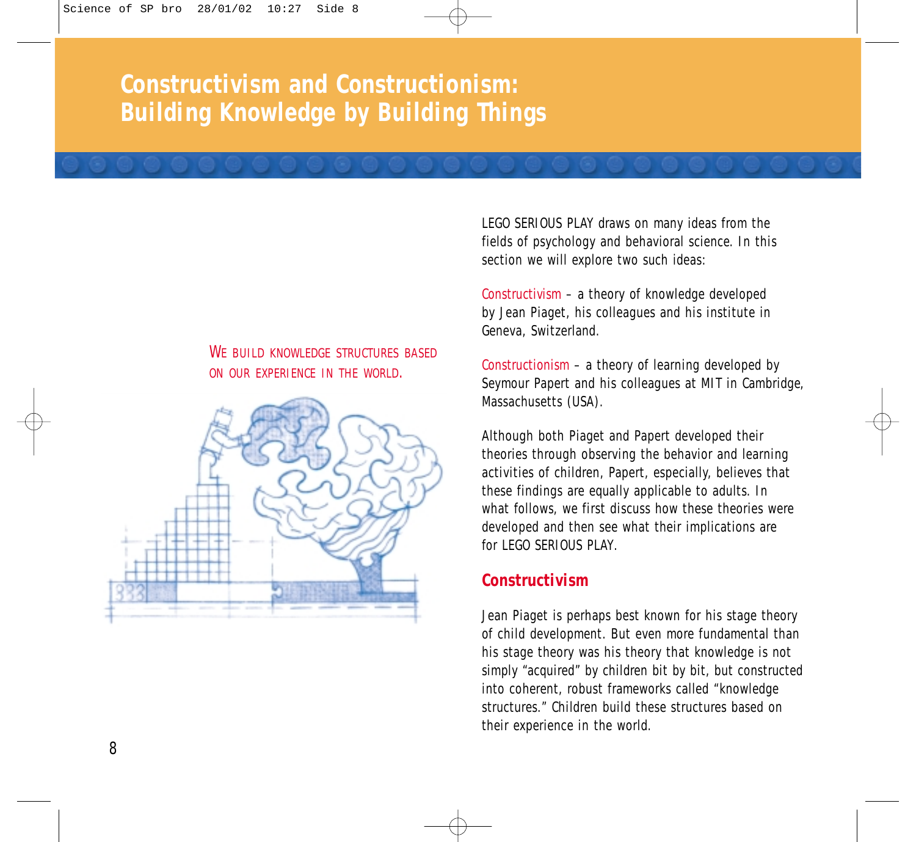### **Constructivism and Constructionism: Building Knowledge by Building Things**

#### WE BUILD KNOWLEDGE STRUCTURES BASED ON OUR EXPERIENCE IN THE WORLD.



LEGO SERIOUS PLAY draws on many ideas from the fields of psychology and behavioral science. In this section we will explore two such ideas:

*Constructivism* – a theory of knowledge developed by Jean Piaget, his colleagues and his institute in Geneva, Switzerland.

*Constructionism* – a theory of learning developed by Seymour Papert and his colleagues at MIT in Cambridge, Massachusetts (USA).

Although both Piaget and Papert developed their theories through observing the behavior and learning activities of children, Papert, especially, believes that these findings are equally applicable to adults. In what follows, we first discuss how these theories were developed and then see what their implications are for LEGO SERIOUS PLAY.

### **Constructivism**

Jean Piaget is perhaps best known for his stage theory of child development. But even more fundamental than his stage theory was his theory that knowledge is not simply "acquired" by children bit by bit, but constructed into coherent, robust frameworks called "knowledge structures." Children build these structures based on their experience in the world.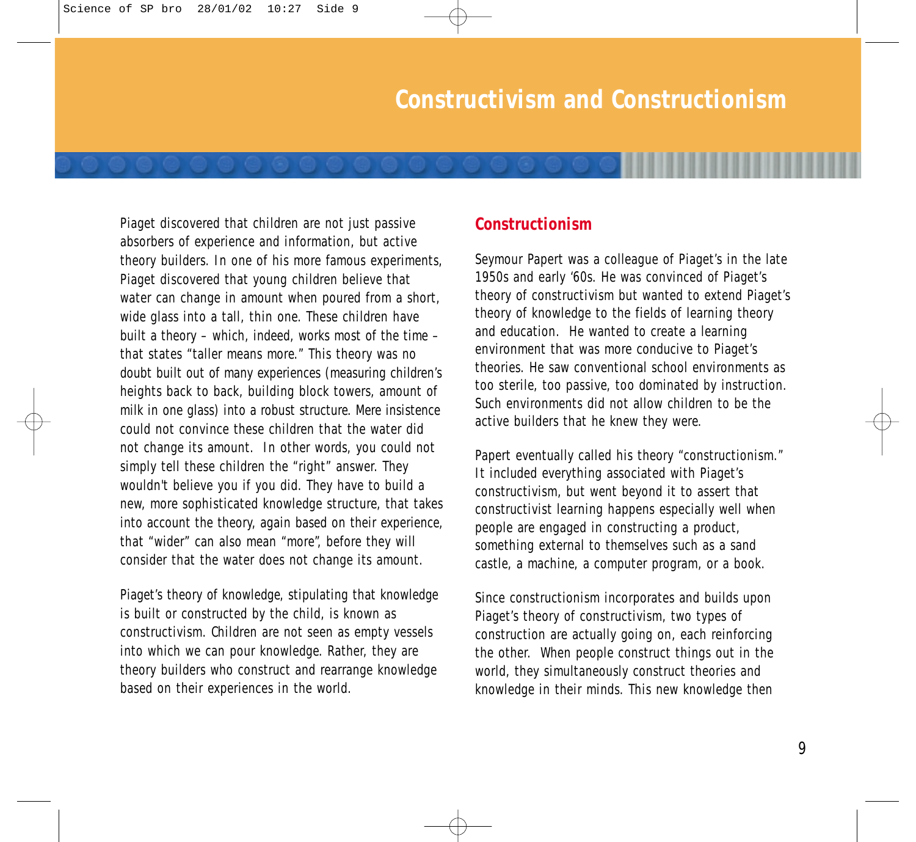Piaget discovered that children are not just passive absorbers of experience and information, but active theory builders. In one of his more famous experiments, Piaget discovered that young children believe that water can change in amount when poured from a short, wide glass into a tall, thin one. These children have built a theory – which, indeed, works most of the time – that states "taller means more." This theory was no doubt built out of many experiences (measuring children's heights back to back, building block towers, amount of milk in one glass) into a robust structure. Mere insistence could not convince these children that the water did not change its amount. In other words, you could not simply tell these children the "right" answer. They wouldn't believe you if you did. They have to build a new, more sophisticated knowledge structure, that takes into account the theory, again based on their experience, that "wider" can also mean "more", before they will consider that the water does not change its amount.

Piaget's theory of knowledge, stipulating that knowledge is built or constructed by the child, is known as constructivism. Children are not seen as empty vessels into which we can pour knowledge. Rather, they are theory builders who construct and rearrange knowledge based on their experiences in the world.

#### **Constructionism**

Seymour Papert was a colleague of Piaget's in the late 1950s and early '60s. He was convinced of Piaget's theory of constructivism but wanted to extend Piaget's theory of knowledge to the fields of learning theory and education. He wanted to create a learning environment that was more conducive to Piaget's theories. He saw conventional school environments as too sterile, too passive, too dominated by instruction. Such environments did not allow children to be the active builders that he knew they were.

Papert eventually called his theory "constructionism." It included everything associated with Piaget's constructivism, but went beyond it to assert that constructivist learning happens especially well when people are engaged in constructing a product, something external to themselves such as a sand castle, a machine, a computer program, or a book.

Since constructionism incorporates and builds upon Piaget's theory of constructivism, two types of construction are actually going on, each reinforcing the other. When people construct things out in the world, they simultaneously construct theories and knowledge in their minds. This new knowledge then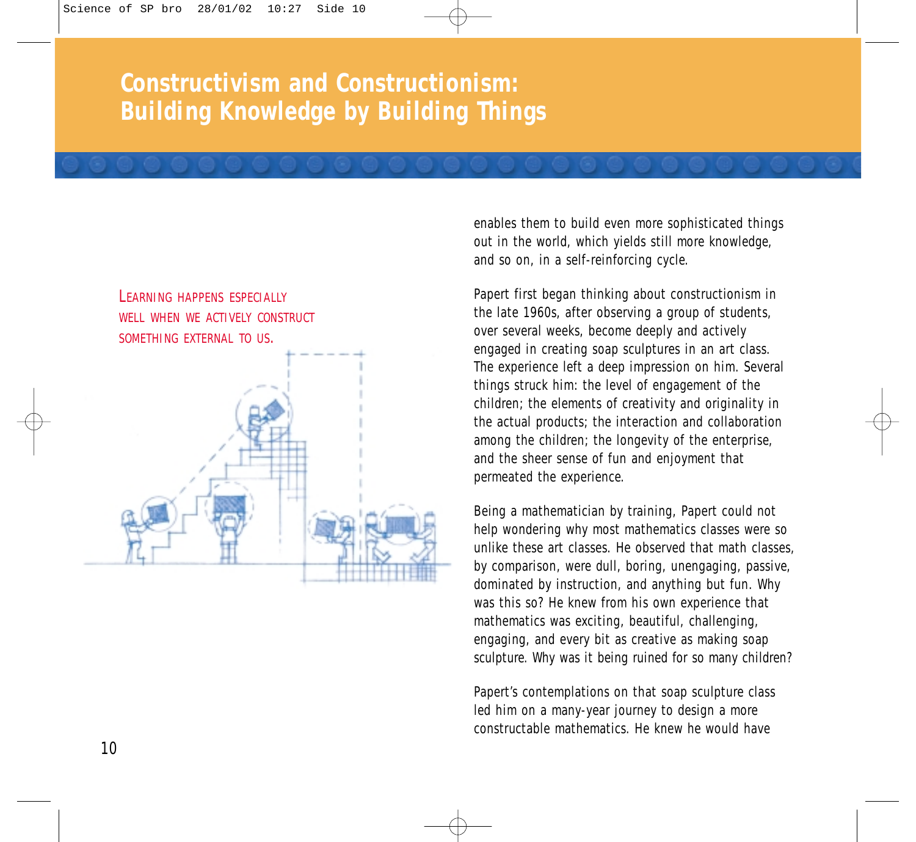## **Constructivism and Constructionism: Building Knowledge by Building Things**

### **LEARNING HAPPENS ESPECIALLY** WELL WHEN WE ACTIVELY CONSTRUCT SOMETHING EXTERNAL TO US.



enables them to build even more sophisticated things out in the world, which yields still more knowledge, and so on, in a self-reinforcing cycle.

Papert first began thinking about constructionism in the late 1960s, after observing a group of students, over several weeks, become deeply and actively engaged in creating soap sculptures in an art class. The experience left a deep impression on him. Several things struck him: the level of engagement of the children; the elements of creativity and originality in the actual products; the interaction and collaboration among the children; the longevity of the enterprise, and the sheer sense of fun and enjoyment that permeated the experience.

Being a mathematician by training, Papert could not help wondering why most mathematics classes were so unlike these art classes. He observed that math classes by comparison, were dull, boring, unengaging, passive, dominated by instruction, and anything but fun. Why was this so? He knew from his own experience that mathematics was exciting, beautiful, challenging, engaging, and every bit as creative as making soap sculpture. Why was it being ruined for so many children?

Papert's contemplations on that soap sculpture class led him on a many-year journey to design a more constructable mathematics. He knew he would have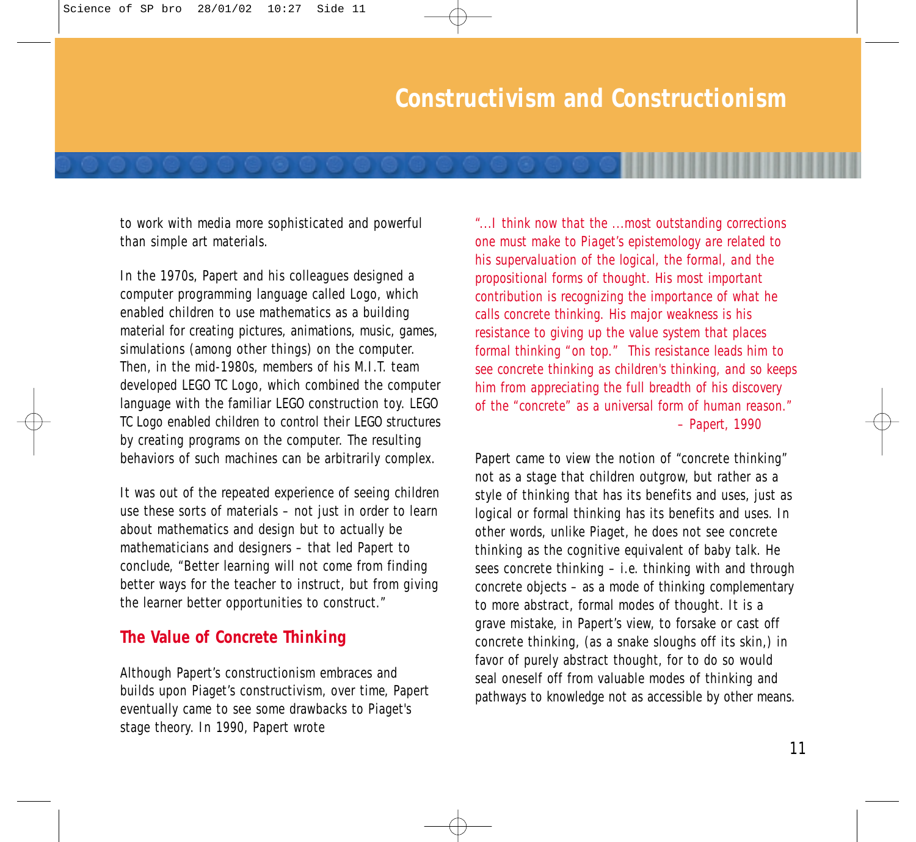to work with media more sophisticated and powerful than simple art materials.

In the 1970s, Papert and his colleagues designed a computer programming language called Logo, which enabled children to use mathematics as a building material for creating pictures, animations, music, games, simulations (among other things) on the computer. Then, in the mid-1980s, members of his M.I.T. team developed LEGO TC Logo, which combined the computer language with the familiar LEGO construction toy. LEGO TC Logo enabled children to control their LEGO structures by creating programs on the computer. The resulting behaviors of such machines can be arbitrarily complex.

It was out of the repeated experience of seeing children use these sorts of materials – not just in order to learn about mathematics and design but to actually be mathematicians and designers – that led Papert to conclude, "Better learning will not come from finding better ways for the teacher to instruct, but from giving the learner better opportunities to construct."

#### **The Value of Concrete Thinking**

Although Papert's constructionism embraces and builds upon Piaget's constructivism, over time, Papert eventually came to see some drawbacks to Piaget's stage theory. In 1990, Papert wrote

*"...I think now that the ...most outstanding corrections one must make to Piaget's epistemology are related to his supervaluation of the logical, the formal, and the propositional forms of thought. His most important contribution is recognizing the importance of what he calls concrete thinking. His major weakness is his resistance to giving up the value system that places formal thinking "on top." This resistance leads him to see concrete thinking as children's thinking, and so keeps him from appreciating the full breadth of his discovery of the "concrete" as a universal form of human reason." – Papert, 1990*

Papert came to view the notion of "concrete thinking" not as a stage that children outgrow, but rather as a style of thinking that has its benefits and uses, just as logical or formal thinking has its benefits and uses. In other words, unlike Piaget, he does not see concrete thinking as the cognitive equivalent of baby talk. He sees concrete thinking – i.e. thinking with and through concrete objects – as a mode of thinking complementary to more abstract, formal modes of thought. It is a grave mistake, in Papert's view, to forsake or cast off concrete thinking, (as a snake sloughs off its skin,) in favor of purely abstract thought, for to do so would seal oneself off from valuable modes of thinking and pathways to knowledge not as accessible by other means.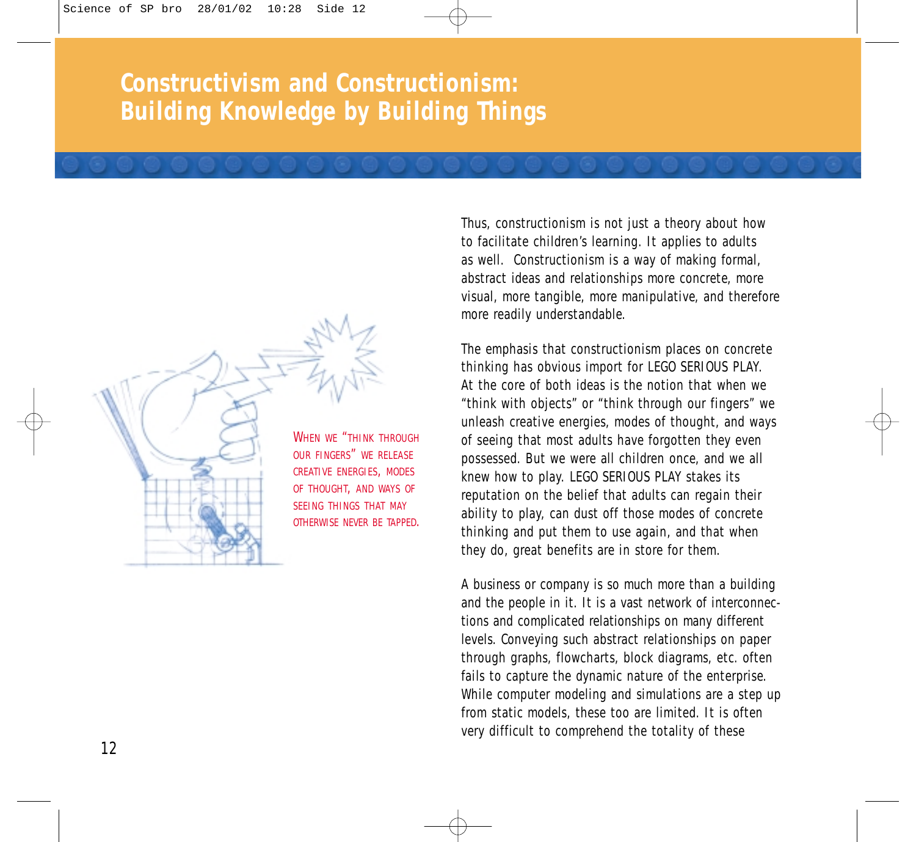### **Constructivism and Constructionism: Building Knowledge by Building Things**

WHEN WE "THINK THROUGH OUR FINGERS" WE RELEASE CREATIVE ENERGIES, MODES OF THOUGHT, AND WAYS OF SEEING THINGS THAT MAY OTHERWISE NEVER BE TAPPED. Thus, constructionism is not just a theory about how to facilitate children's learning. It applies to adults as well. Constructionism is a way of making formal, abstract ideas and relationships more concrete, more visual, more tangible, more manipulative, and therefore more readily understandable.

The emphasis that constructionism places on concrete thinking has obvious import for LEGO SERIOUS PLAY. At the core of both ideas is the notion that when we "think with objects" or "think through our fingers" we unleash creative energies, modes of thought, and ways of seeing that most adults have forgotten they even possessed. But we were all children once, and we all knew how to play. LEGO SERIOUS PLAY stakes its reputation on the belief that adults can regain their ability to play, can dust off those modes of concrete thinking and put them to use again, and that when they do, great benefits are in store for them.

A business or company is so much more than a building and the people in it. It is a vast network of interconnections and complicated relationships on many different levels. Conveying such abstract relationships on paper through graphs, flowcharts, block diagrams, etc. often fails to capture the dynamic nature of the enterprise. While computer modeling and simulations are a step up from static models, these too are limited. It is often very difficult to comprehend the totality of these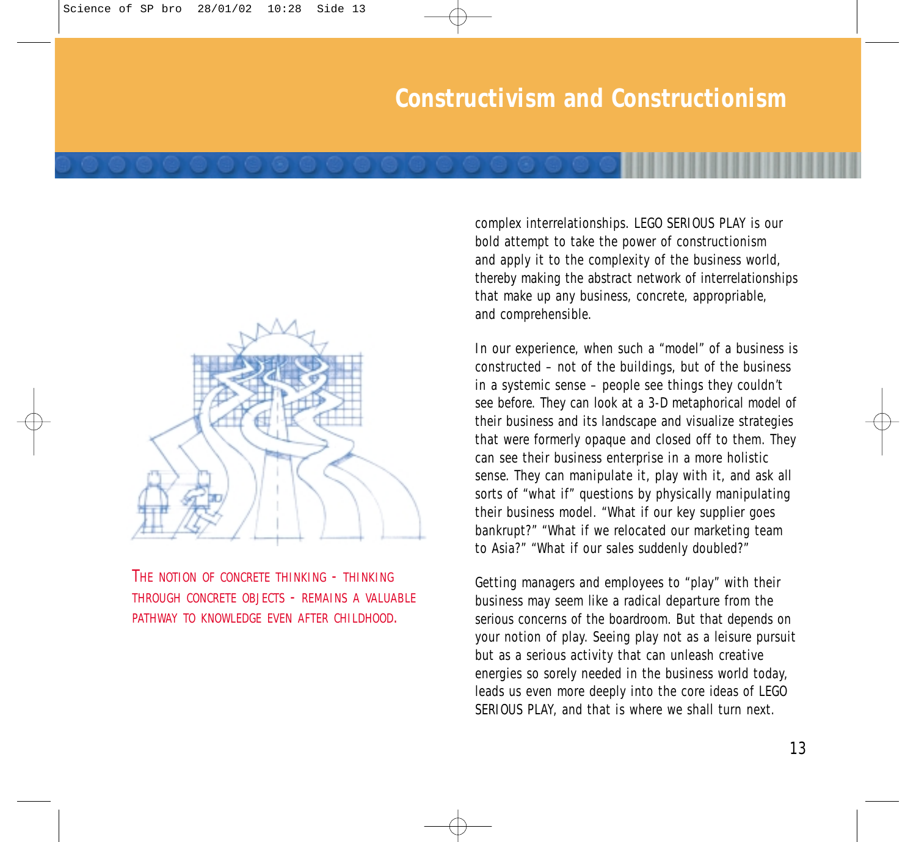

THE NOTION OF CONCRETE THINKING - THINKING THROUGH CONCRETE OBJECTS - REMAINS A VALUABLE PATHWAY TO KNOWLEDGE EVEN AFTER CHILDHOOD.

complex interrelationships. LEGO SERIOUS PLAY is our bold attempt to take the power of constructionism and apply it to the complexity of the business world, thereby making the abstract network of interrelationships that make up any business, concrete, appropriable, and comprehensible.

In our experience, when such a "model" of a business is constructed – not of the buildings, but of the business in a systemic sense – people see things they couldn't see before. They can look at a 3-D metaphorical model of their business and its landscape and visualize strategies that were formerly opaque and closed off to them. They can see their business enterprise in a more holistic sense. They can manipulate it, play with it, and ask all sorts of "what if" questions by physically manipulating their business model. "What if our key supplier goes bankrupt?" "What if we relocated our marketing team to Asia?" "What if our sales suddenly doubled?"

Getting managers and employees to "play" with their business may seem like a radical departure from the serious concerns of the boardroom. But that depends on your notion of play. Seeing play not as a leisure pursuit but as a serious activity that can unleash creative energies so sorely needed in the business world today, leads us even more deeply into the core ideas of LEGO SERIOUS PLAY, and that is where we shall turn next.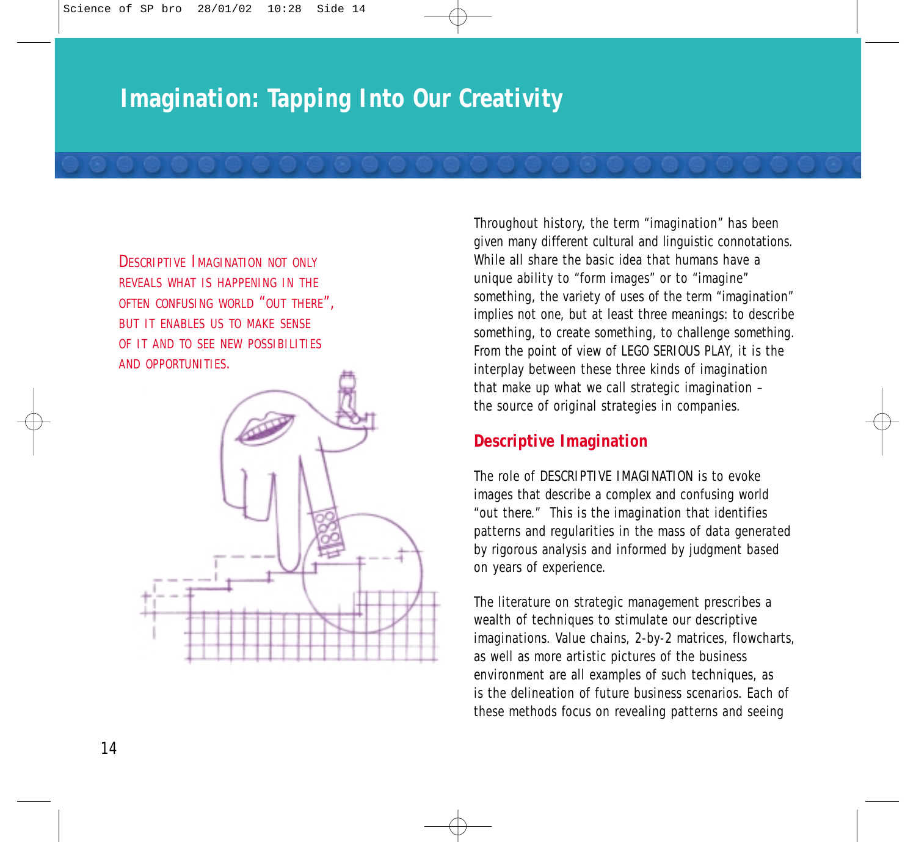## **Imagination: Tapping Into Our Creativity**

DESCRIPTIVE IMAGINATION NOT ONLY REVEALS WHAT IS HAPPENING IN THE OFTEN CONFUSING WORLD "OUT THERE", BUT IT ENABLES US TO MAKE SENSE OF IT AND TO SEE NEW POSSIBILITIES AND OPPORTUNITIES.



Throughout history, the term "imagination" has been given many different cultural and linguistic connotations. While all share the basic idea that humans have a unique ability to "form images" or to "imagine" something, the variety of uses of the term "imagination" implies not one, but at least three meanings: to describe something, to create something, to challenge something. From the point of view of LEGO SERIOUS PLAY, it is the interplay between these three kinds of imagination that make up what we call strategic imagination – the source of original strategies in companies.

#### **Descriptive Imagination**

The role of DESCRIPTIVE IMAGINATION is to evoke images that describe a complex and confusing world "out there." This is the imagination that identifies patterns and regularities in the mass of data generated by rigorous analysis and informed by judgment based on years of experience.

The literature on strategic management prescribes a wealth of techniques to stimulate our descriptive imaginations. Value chains, 2-by-2 matrices, flowcharts, as well as more artistic pictures of the business environment are all examples of such techniques, as is the delineation of future business scenarios. Each of these methods focus on revealing patterns and seeing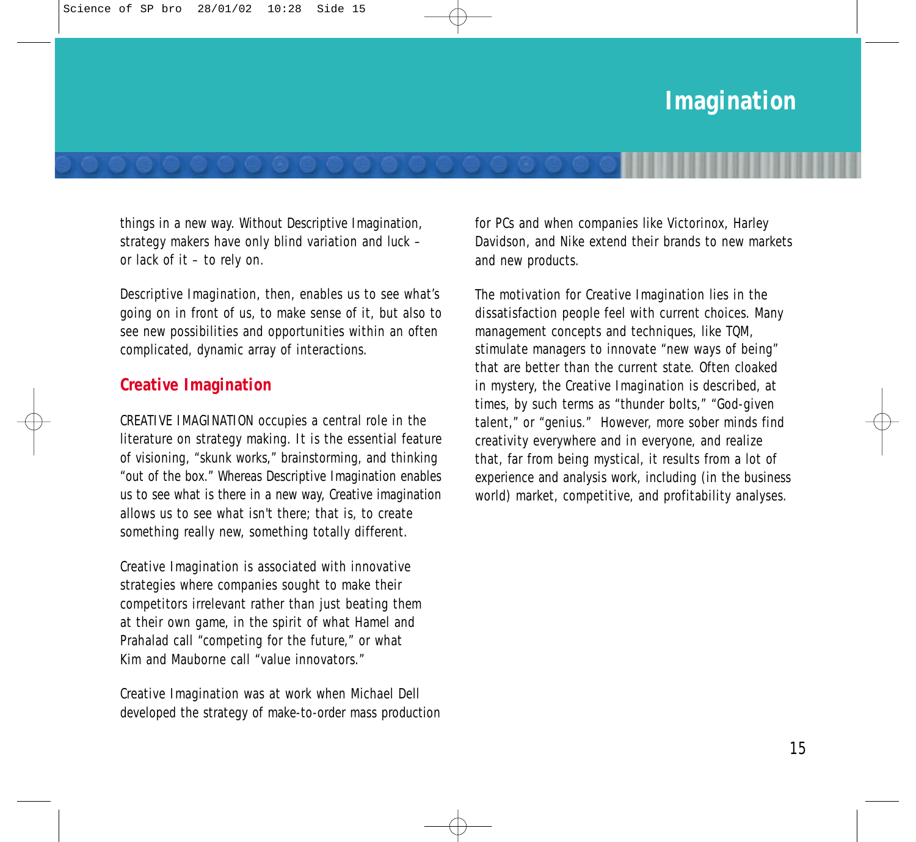things in a new way. Without Descriptive Imagination, strategy makers have only blind variation and luck – or lack of it – to rely on.

Descriptive Imagination, then, enables us to see what's going on in front of us, to make sense of it, but also to see new possibilities and opportunities within an often complicated, dynamic array of interactions.

#### **Creative Imagination**

CREATIVE IMAGINATION occupies a central role in the literature on strategy making. It is the essential feature of visioning, "skunk works," brainstorming, and thinking "out of the box." Whereas Descriptive Imagination enables us to see what is there in a new way, Creative imagination allows us to see what isn't there; that is, to create something really new, something totally different.

Creative Imagination is associated with innovative strategies where companies sought to make their competitors irrelevant rather than just beating them at their own game, in the spirit of what Hamel and Prahalad call "competing for the future," or what Kim and Mauborne call "value innovators."

Creative Imagination was at work when Michael Dell developed the strategy of make-to-order mass production for PCs and when companies like Victorinox, Harley Davidson, and Nike extend their brands to new markets and new products.

The motivation for Creative Imagination lies in the dissatisfaction people feel with current choices. Many management concepts and techniques, like TQM, stimulate managers to innovate "new ways of being" that are better than the current state. Often cloaked in mystery, the Creative Imagination is described, at times, by such terms as "thunder bolts," "God-given talent," or "genius." However, more sober minds find creativity everywhere and in everyone, and realize that, far from being mystical, it results from a lot of experience and analysis work, including (in the business world) market, competitive, and profitability analyses.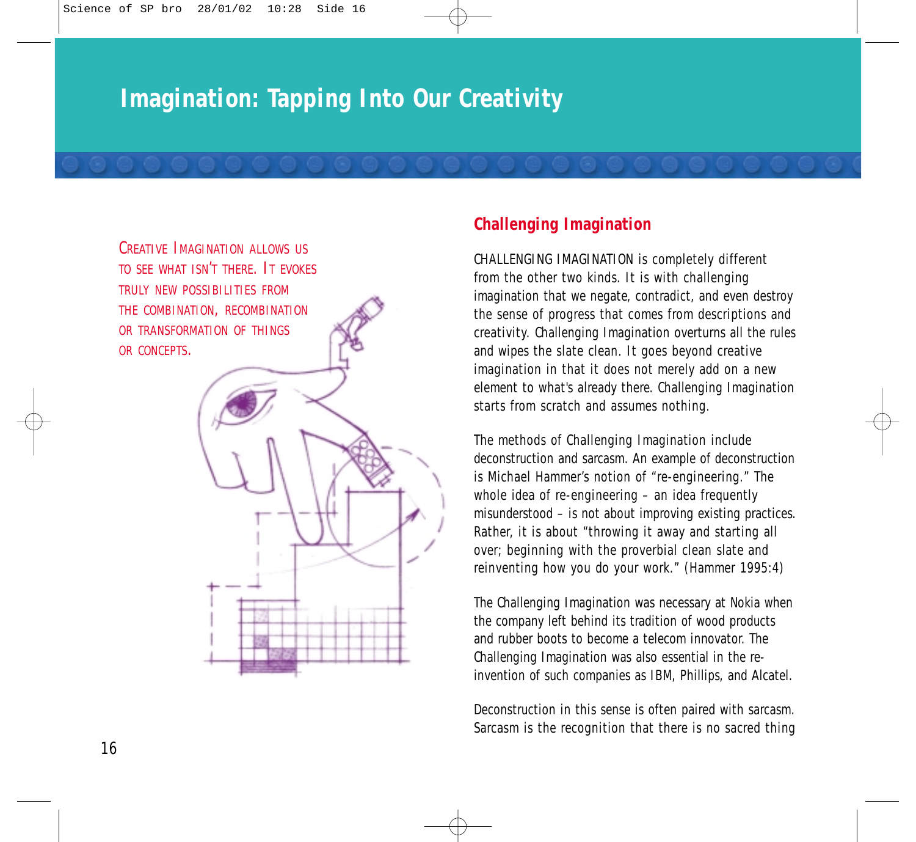## **Imagination: Tapping Into Our Creativity**



#### **Challenging Imagination**

CHALLENGING IMAGINATION is completely different from the other two kinds. It is with challenging imagination that we negate, contradict, and even destroy the sense of progress that comes from descriptions and creativity. Challenging Imagination overturns all the rules and wipes the slate clean. It goes beyond creative imagination in that it does not merely add on a new element to what's already there. Challenging Imagination starts from scratch and assumes nothing.

The methods of Challenging Imagination include deconstruction and sarcasm. An example of deconstruction is Michael Hammer's notion of "re-engineering." The whole idea of re-engineering – an idea frequently misunderstood – is not about improving existing practices. Rather, it is about "throwing it away and starting all over; beginning with the proverbial clean slate and reinventing how you do your work." (Hammer 1995:4)

The Challenging Imagination was necessary at Nokia when the company left behind its tradition of wood products and rubber boots to become a telecom innovator. The Challenging Imagination was also essential in the reinvention of such companies as IBM, Phillips, and Alcatel.

Deconstruction in this sense is often paired with sarcasm. Sarcasm is the recognition that there is no sacred thing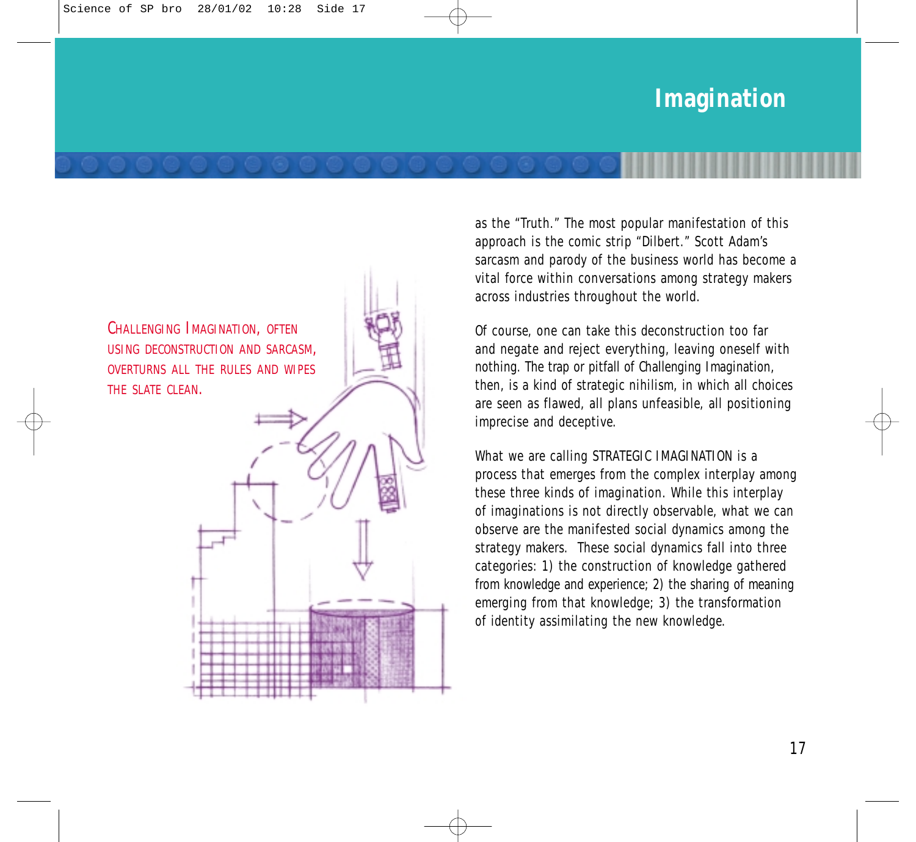# **Imagination**



as the "Truth." The most popular manifestation of this approach is the comic strip "Dilbert." Scott Adam's sarcasm and parody of the business world has become a vital force within conversations among strategy makers across industries throughout the world.

Of course, one can take this deconstruction too far and negate and reject everything, leaving oneself with nothing. The trap or pitfall of Challenging Imagination, then, is a kind of strategic nihilism, in which all choices are seen as flawed, all plans unfeasible, all positioning imprecise and deceptive.

What we are calling STRATEGIC IMAGINATION is a process that emerges from the complex interplay among these three kinds of imagination. While this interplay of imaginations is not directly observable, what we can observe are the manifested social dynamics among the strategy makers. These social dynamics fall into three categories: 1) the construction of knowledge gathered from knowledge and experience; 2) the sharing of meaning emerging from that knowledge; 3) the transformation of identity assimilating the new knowledge.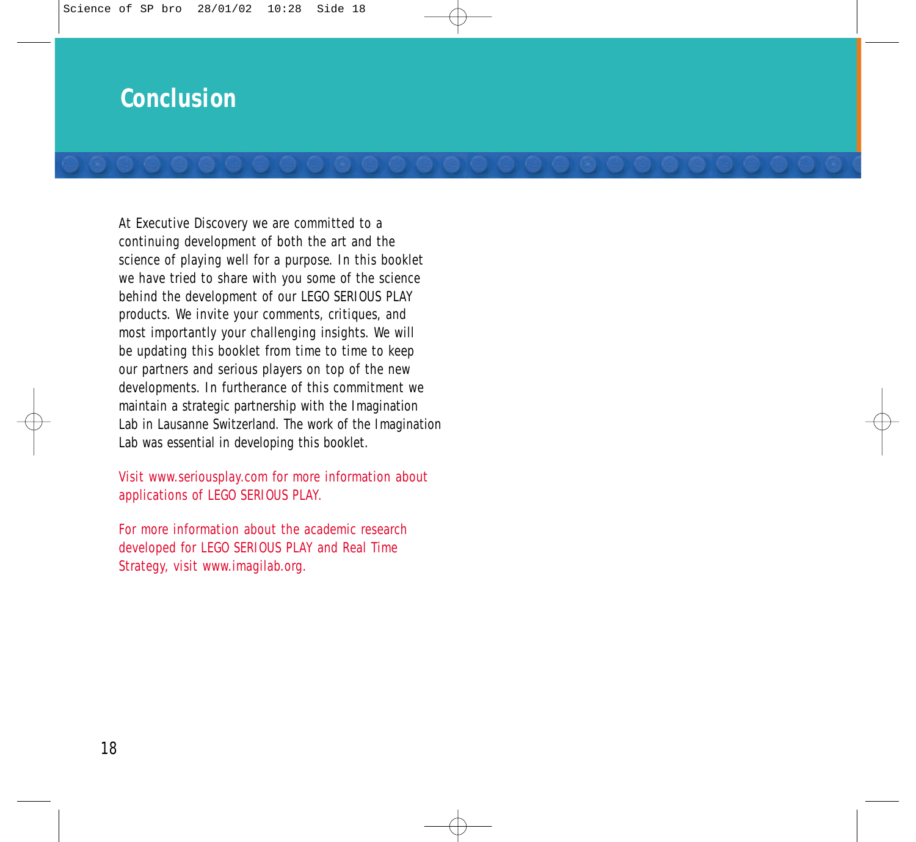### **Conclusion**

At Executive Discovery we are committed to a continuing development of both the art and the science of playing well for a purpose. In this booklet we have tried to share with you some of the science behind the development of our LEGO SERIOUS PLAY products. We invite your comments, critiques, and most importantly your challenging insights. We will be updating this booklet from time to time to keep our partners and serious players on top of the new developments. In furtherance of this commitment we maintain a strategic partnership with the Imagination Lab in Lausanne Switzerland. The work of the Imagination Lab was essential in developing this booklet.

Visit www.seriousplay.com for more information about applications of LEGO SERIOUS PLAY.

For more information about the academic research developed for LEGO SERIOUS PLAY and Real Time Strategy, visit www.imagilab.org.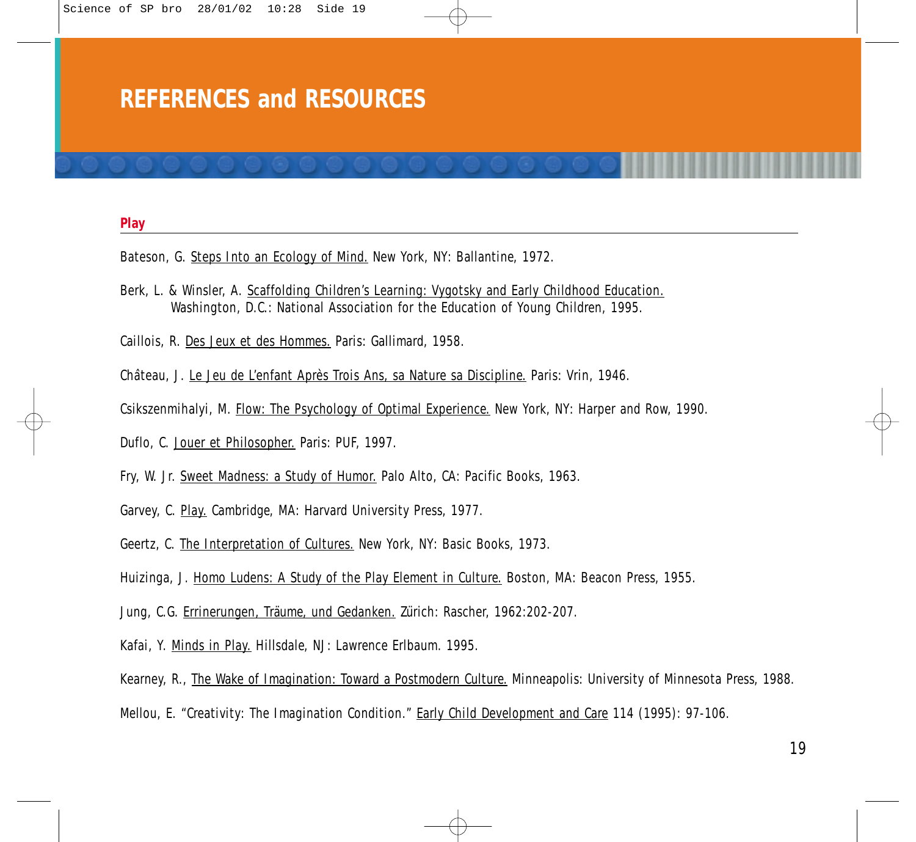### **REFERENCES and RESOURCES**

#### **Play**

- Bateson, G. Steps Into an Ecology of Mind. New York, NY: Ballantine, 1972.
- Berk, L. & Winsler, A. Scaffolding Children's Learning: Vygotsky and Early Childhood Education. Washington, D.C.: National Association for the Education of Young Children, 1995.
- Caillois, R. Des Jeux et des Hommes. Paris: Gallimard, 1958.
- Château, J. Le Jeu de L'enfant Après Trois Ans, sa Nature sa Discipline. Paris: Vrin, 1946.
- Csikszenmihalyi, M. Flow: The Psychology of Optimal Experience. New York, NY: Harper and Row, 1990.
- Duflo, C. Jouer et Philosopher. Paris: PUF, 1997.
- Fry, W. Jr. Sweet Madness: a Study of Humor. Palo Alto, CA: Pacific Books, 1963.
- Garvey, C. Play. Cambridge, MA: Harvard University Press, 1977.
- Geertz, C. The Interpretation of Cultures. New York, NY: Basic Books, 1973.
- Huizinga, J. Homo Ludens: A Study of the Play Element in Culture. Boston, MA: Beacon Press, 1955.
- Jung, C.G. Errinerungen, Träume, und Gedanken. Zürich: Rascher, 1962:202-207.
- Kafai, Y. Minds in Play. Hillsdale, NJ: Lawrence Erlbaum. 1995.
- Kearney, R., The Wake of Imagination: Toward a Postmodern Culture. Minneapolis: University of Minnesota Press, 1988.
- Mellou, E. "Creativity: The Imagination Condition." Early Child Development and Care 114 (1995): 97-106.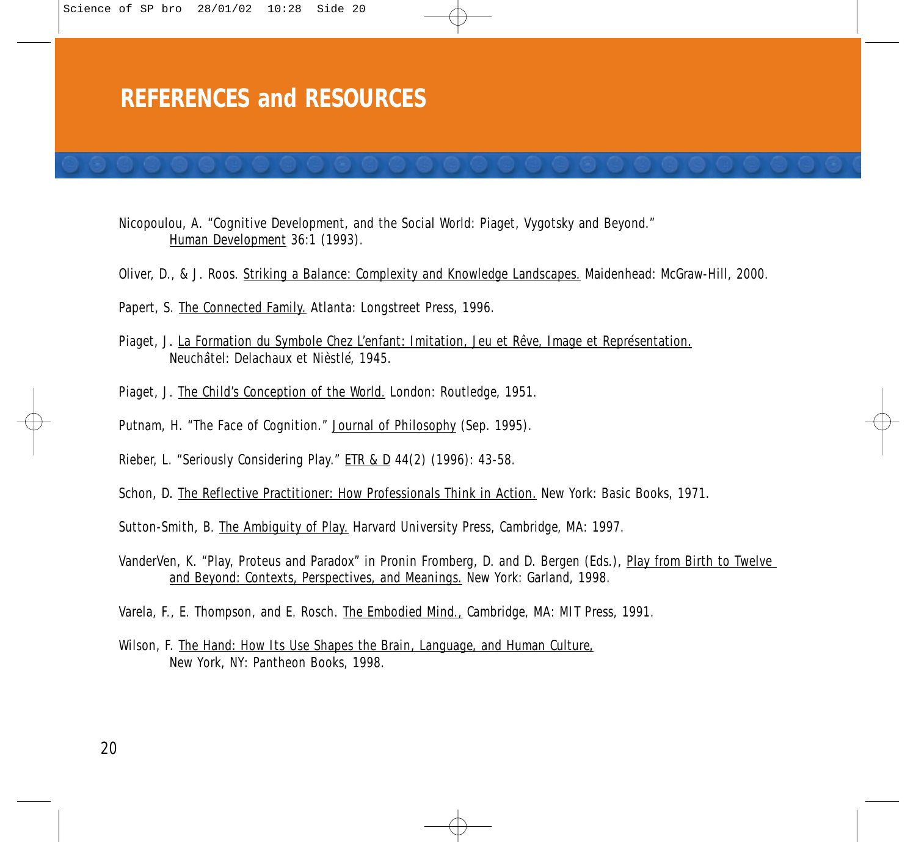### **REFERENCES and RESOURCES**

Nicopoulou, A. "Cognitive Development, and the Social World: Piaget, Vygotsky and Beyond." Human Development 36:1 (1993).

Oliver, D., & J. Roos. Striking a Balance: Complexity and Knowledge Landscapes. Maidenhead: McGraw-Hill, 2000.

Papert, S. The Connected Family. Atlanta: Longstreet Press, 1996.

- Piaget, J. La Formation du Symbole Chez L'enfant: Imitation, Jeu et Rêve, Image et Représentation. Neuchâtel: Delachaux et Nièstlé, 1945.
- Piaget, J. The Child's Conception of the World. London: Routledge, 1951.
- Putnam, H. "The Face of Cognition." Journal of Philosophy (Sep. 1995).
- Rieber, L. "Seriously Considering Play." ETR & D 44(2) (1996): 43-58.

Schon, D. The Reflective Practitioner: How Professionals Think in Action. New York: Basic Books, 1971.

Sutton-Smith, B. The Ambiguity of Play. Harvard University Press, Cambridge, MA: 1997.

VanderVen, K. "Play, Proteus and Paradox" in Pronin Fromberg, D. and D. Bergen (Eds.), Play from Birth to Twelve and Beyond: Contexts, Perspectives, and Meanings. New York: Garland, 1998.

Varela, F., E. Thompson, and E. Rosch. The Embodied Mind., Cambridge, MA: MIT Press, 1991.

Wilson, F. The Hand: How Its Use Shapes the Brain, Language, and Human Culture, New York, NY: Pantheon Books, 1998.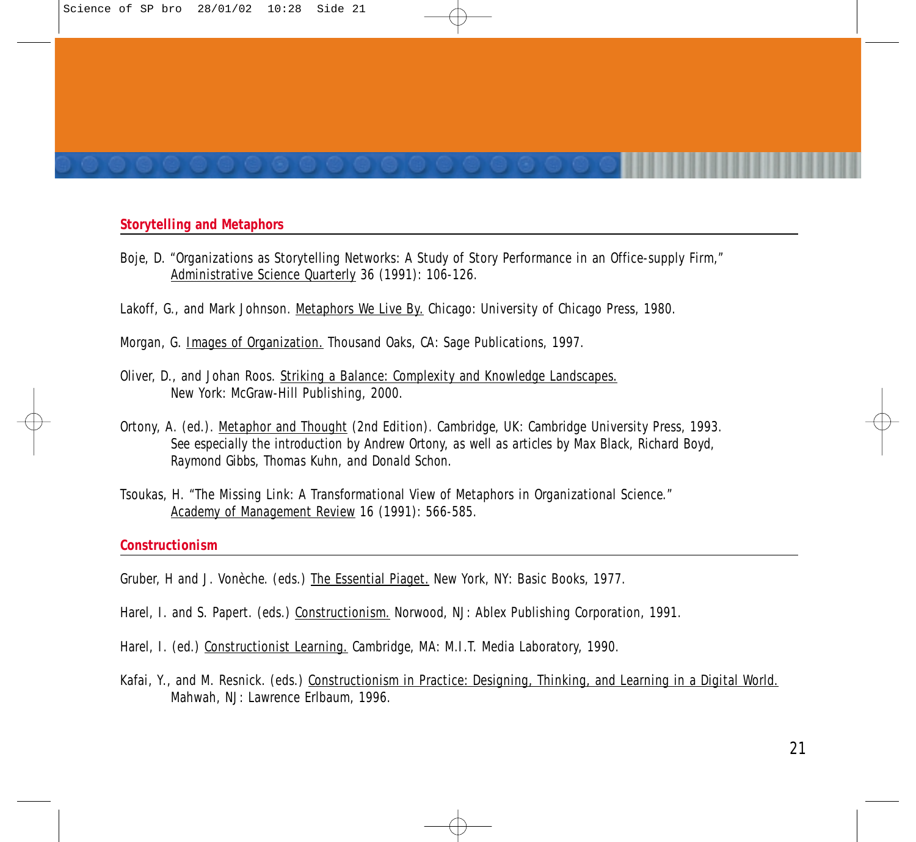#### **Storytelling and Metaphors**

- Boje, D. "Organizations as Storytelling Networks: A Study of Story Performance in an Office-supply Firm," Administrative Science Quarterly 36 (1991): 106-126.
- Lakoff, G., and Mark Johnson. Metaphors We Live By. Chicago: University of Chicago Press, 1980.
- Morgan, G. Images of Organization. Thousand Oaks, CA: Sage Publications, 1997.
- Oliver, D., and Johan Roos. Striking a Balance: Complexity and Knowledge Landscapes. New York: McGraw-Hill Publishing, 2000.
- Ortony, A. (ed.). Metaphor and Thought (2nd Edition). Cambridge, UK: Cambridge University Press, 1993. *See especially the introduction by Andrew Ortony, as well as articles by Max Black, Richard Boyd, Raymond Gibbs, Thomas Kuhn, and Donald Schon.*
- Tsoukas, H. "The Missing Link: A Transformational View of Metaphors in Organizational Science." Academy of Management Review 16 (1991): 566-585.

#### **Constructionism**

- Gruber, H and J. Vonèche. (eds.) The Essential Piaget. New York, NY: Basic Books, 1977.
- Harel, I. and S. Papert. (eds.) Constructionism. Norwood, NJ: Ablex Publishing Corporation, 1991.
- Harel, I. (ed.) Constructionist Learning. Cambridge, MA: M.I.T. Media Laboratory, 1990.
- Kafai, Y., and M. Resnick. (eds.) Constructionism in Practice: Designing, Thinking, and Learning in a Digital World. Mahwah, NJ: Lawrence Erlbaum, 1996.